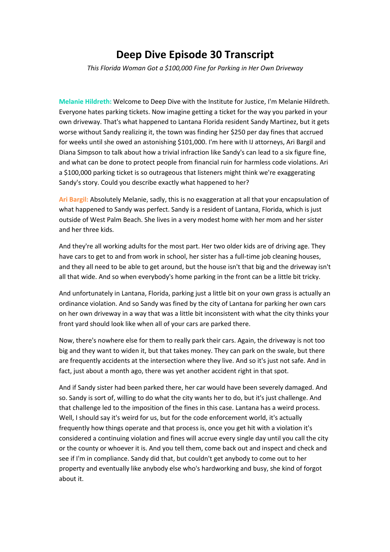## **Deep Dive Episode 30 Transcript**

*This Florida Woman Got a \$100,000 Fine for Parking in Her Own Driveway*

**Melanie Hildreth:** Welcome to Deep Dive with the Institute for Justice, I'm Melanie Hildreth. Everyone hates parking tickets. Now imagine getting a ticket for the way you parked in your own driveway. That's what happened to Lantana Florida resident Sandy Martinez, but it gets worse without Sandy realizing it, the town was finding her \$250 per day fines that accrued for weeks until she owed an astonishing \$101,000. I'm here with IJ attorneys, Ari Bargil and Diana Simpson to talk about how a trivial infraction like Sandy's can lead to a six figure fine, and what can be done to protect people from financial ruin for harmless code violations. Ari a \$100,000 parking ticket is so outrageous that listeners might think we're exaggerating Sandy's story. Could you describe exactly what happened to her?

**Ari Bargil:** Absolutely Melanie, sadly, this is no exaggeration at all that your encapsulation of what happened to Sandy was perfect. Sandy is a resident of Lantana, Florida, which is just outside of West Palm Beach. She lives in a very modest home with her mom and her sister and her three kids.

And they're all working adults for the most part. Her two older kids are of driving age. They have cars to get to and from work in school, her sister has a full-time job cleaning houses, and they all need to be able to get around, but the house isn't that big and the driveway isn't all that wide. And so when everybody's home parking in the front can be a little bit tricky.

And unfortunately in Lantana, Florida, parking just a little bit on your own grass is actually an ordinance violation. And so Sandy was fined by the city of Lantana for parking her own cars on her own driveway in a way that was a little bit inconsistent with what the city thinks your front yard should look like when all of your cars are parked there.

Now, there's nowhere else for them to really park their cars. Again, the driveway is not too big and they want to widen it, but that takes money. They can park on the swale, but there are frequently accidents at the intersection where they live. And so it's just not safe. And in fact, just about a month ago, there was yet another accident right in that spot.

And if Sandy sister had been parked there, her car would have been severely damaged. And so. Sandy is sort of, willing to do what the city wants her to do, but it's just challenge. And that challenge led to the imposition of the fines in this case. Lantana has a weird process. Well, I should say it's weird for us, but for the code enforcement world, it's actually frequently how things operate and that process is, once you get hit with a violation it's considered a continuing violation and fines will accrue every single day until you call the city or the county or whoever it is. And you tell them, come back out and inspect and check and see if I'm in compliance. Sandy did that, but couldn't get anybody to come out to her property and eventually like anybody else who's hardworking and busy, she kind of forgot about it.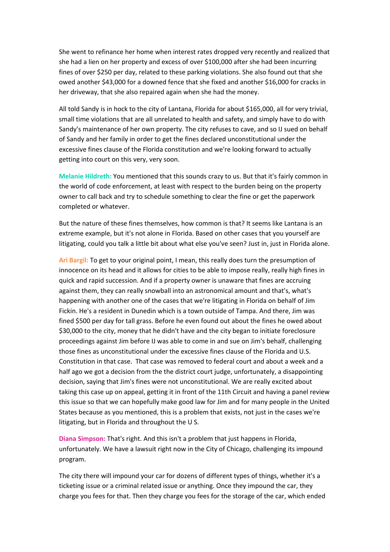She went to refinance her home when interest rates dropped very recently and realized that she had a lien on her property and excess of over \$100,000 after she had been incurring fines of over \$250 per day, related to these parking violations. She also found out that she owed another \$43,000 for a downed fence that she fixed and another \$16,000 for cracks in her driveway, that she also repaired again when she had the money.

All told Sandy is in hock to the city of Lantana, Florida for about \$165,000, all for very trivial, small time violations that are all unrelated to health and safety, and simply have to do with Sandy's maintenance of her own property. The city refuses to cave, and so IJ sued on behalf of Sandy and her family in order to get the fines declared unconstitutional under the excessive fines clause of the Florida constitution and we're looking forward to actually getting into court on this very, very soon.

**Melanie Hildreth:** You mentioned that this sounds crazy to us. But that it's fairly common in the world of code enforcement, at least with respect to the burden being on the property owner to call back and try to schedule something to clear the fine or get the paperwork completed or whatever.

But the nature of these fines themselves, how common is that? It seems like Lantana is an extreme example, but it's not alone in Florida. Based on other cases that you yourself are litigating, could you talk a little bit about what else you've seen? Just in, just in Florida alone.

**Ari Bargil:** To get to your original point, I mean, this really does turn the presumption of innocence on its head and it allows for cities to be able to impose really, really high fines in quick and rapid succession. And if a property owner is unaware that fines are accruing against them, they can really snowball into an astronomical amount and that's, what's happening with another one of the cases that we're litigating in Florida on behalf of Jim Fickin. He's a resident in Dunedin which is a town outside of Tampa. And there, Jim was fined \$500 per day for tall grass. Before he even found out about the fines he owed about \$30,000 to the city, money that he didn't have and the city began to initiate foreclosure proceedings against Jim before IJ was able to come in and sue on Jim's behalf, challenging those fines as unconstitutional under the excessive fines clause of the Florida and U.S. Constitution in that case. That case was removed to federal court and about a week and a half ago we got a decision from the the district court judge, unfortunately, a disappointing decision, saying that Jim's fines were not unconstitutional. We are really excited about taking this case up on appeal, getting it in front of the 11th Circuit and having a panel review this issue so that we can hopefully make good law for Jim and for many people in the United States because as you mentioned, this is a problem that exists, not just in the cases we're litigating, but in Florida and throughout the U S.

**Diana Simpson:** That's right. And this isn't a problem that just happens in Florida, unfortunately. We have a lawsuit right now in the City of Chicago, challenging its impound program.

The city there will impound your car for dozens of different types of things, whether it's a ticketing issue or a criminal related issue or anything. Once they impound the car, they charge you fees for that. Then they charge you fees for the storage of the car, which ended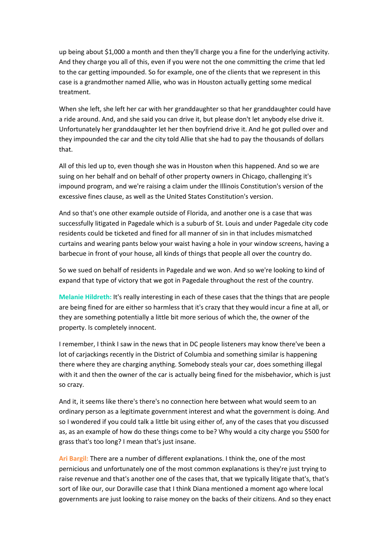up being about \$1,000 a month and then they'll charge you a fine for the underlying activity. And they charge you all of this, even if you were not the one committing the crime that led to the car getting impounded. So for example, one of the clients that we represent in this case is a grandmother named Allie, who was in Houston actually getting some medical treatment.

When she left, she left her car with her granddaughter so that her granddaughter could have a ride around. And, and she said you can drive it, but please don't let anybody else drive it. Unfortunately her granddaughter let her then boyfriend drive it. And he got pulled over and they impounded the car and the city told Allie that she had to pay the thousands of dollars that.

All of this led up to, even though she was in Houston when this happened. And so we are suing on her behalf and on behalf of other property owners in Chicago, challenging it's impound program, and we're raising a claim under the Illinois Constitution's version of the excessive fines clause, as well as the United States Constitution's version.

And so that's one other example outside of Florida, and another one is a case that was successfully litigated in Pagedale which is a suburb of St. Louis and under Pagedale city code residents could be ticketed and fined for all manner of sin in that includes mismatched curtains and wearing pants below your waist having a hole in your window screens, having a barbecue in front of your house, all kinds of things that people all over the country do.

So we sued on behalf of residents in Pagedale and we won. And so we're looking to kind of expand that type of victory that we got in Pagedale throughout the rest of the country.

**Melanie Hildreth:** It's really interesting in each of these cases that the things that are people are being fined for are either so harmless that it's crazy that they would incur a fine at all, or they are something potentially a little bit more serious of which the, the owner of the property. Is completely innocent.

I remember, I think I saw in the news that in DC people listeners may know there've been a lot of carjackings recently in the District of Columbia and something similar is happening there where they are charging anything. Somebody steals your car, does something illegal with it and then the owner of the car is actually being fined for the misbehavior, which is just so crazy.

And it, it seems like there's there's no connection here between what would seem to an ordinary person as a legitimate government interest and what the government is doing. And so I wondered if you could talk a little bit using either of, any of the cases that you discussed as, as an example of how do these things come to be? Why would a city charge you \$500 for grass that's too long? I mean that's just insane.

**Ari Bargil:** There are a number of different explanations. I think the, one of the most pernicious and unfortunately one of the most common explanations is they're just trying to raise revenue and that's another one of the cases that, that we typically litigate that's, that's sort of like our, our Doraville case that I think Diana mentioned a moment ago where local governments are just looking to raise money on the backs of their citizens. And so they enact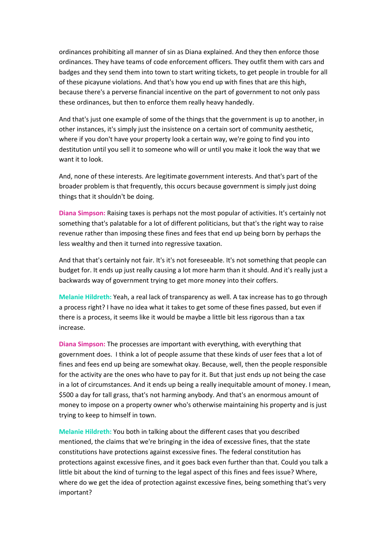ordinances prohibiting all manner of sin as Diana explained. And they then enforce those ordinances. They have teams of code enforcement officers. They outfit them with cars and badges and they send them into town to start writing tickets, to get people in trouble for all of these picayune violations. And that's how you end up with fines that are this high, because there's a perverse financial incentive on the part of government to not only pass these ordinances, but then to enforce them really heavy handedly.

And that's just one example of some of the things that the government is up to another, in other instances, it's simply just the insistence on a certain sort of community aesthetic, where if you don't have your property look a certain way, we're going to find you into destitution until you sell it to someone who will or until you make it look the way that we want it to look.

And, none of these interests. Are legitimate government interests. And that's part of the broader problem is that frequently, this occurs because government is simply just doing things that it shouldn't be doing.

**Diana Simpson:** Raising taxes is perhaps not the most popular of activities. It's certainly not something that's palatable for a lot of different politicians, but that's the right way to raise revenue rather than imposing these fines and fees that end up being born by perhaps the less wealthy and then it turned into regressive taxation.

And that that's certainly not fair. It's it's not foreseeable. It's not something that people can budget for. It ends up just really causing a lot more harm than it should. And it's really just a backwards way of government trying to get more money into their coffers.

**Melanie Hildreth:** Yeah, a real lack of transparency as well. A tax increase has to go through a process right? I have no idea what it takes to get some of these fines passed, but even if there is a process, it seems like it would be maybe a little bit less rigorous than a tax increase.

**Diana Simpson:** The processes are important with everything, with everything that government does. I think a lot of people assume that these kinds of user fees that a lot of fines and fees end up being are somewhat okay. Because, well, then the people responsible for the activity are the ones who have to pay for it. But that just ends up not being the case in a lot of circumstances. And it ends up being a really inequitable amount of money. I mean, \$500 a day for tall grass, that's not harming anybody. And that's an enormous amount of money to impose on a property owner who's otherwise maintaining his property and is just trying to keep to himself in town.

**Melanie Hildreth:** You both in talking about the different cases that you described mentioned, the claims that we're bringing in the idea of excessive fines, that the state constitutions have protections against excessive fines. The federal constitution has protections against excessive fines, and it goes back even further than that. Could you talk a little bit about the kind of turning to the legal aspect of this fines and fees issue? Where, where do we get the idea of protection against excessive fines, being something that's very important?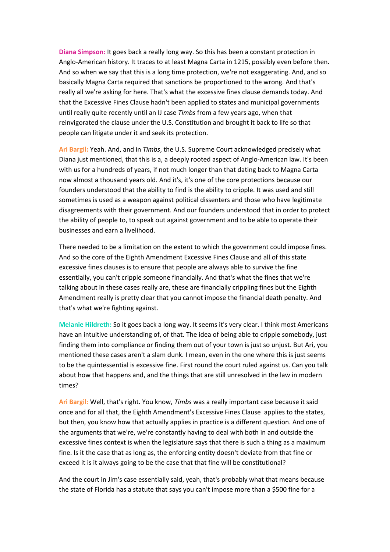**Diana Simpson:** It goes back a really long way. So this has been a constant protection in Anglo-American history. It traces to at least Magna Carta in 1215, possibly even before then. And so when we say that this is a long time protection, we're not exaggerating. And, and so basically Magna Carta required that sanctions be proportioned to the wrong. And that's really all we're asking for here. That's what the excessive fines clause demands today. And that the Excessive Fines Clause hadn't been applied to states and municipal governments until really quite recently until an IJ case *Timbs* from a few years ago, when that reinvigorated the clause under the U.S. Constitution and brought it back to life so that people can litigate under it and seek its protection.

**Ari Bargil:** Yeah. And, and in *Timbs*, the U.S. Supreme Court acknowledged precisely what Diana just mentioned, that this is a, a deeply rooted aspect of Anglo-American law. It's been with us for a hundreds of years, if not much longer than that dating back to Magna Carta now almost a thousand years old. And it's, it's one of the core protections because our founders understood that the ability to find is the ability to cripple. It was used and still sometimes is used as a weapon against political dissenters and those who have legitimate disagreements with their government. And our founders understood that in order to protect the ability of people to, to speak out against government and to be able to operate their businesses and earn a livelihood.

There needed to be a limitation on the extent to which the government could impose fines. And so the core of the Eighth Amendment Excessive Fines Clause and all of this state excessive fines clauses is to ensure that people are always able to survive the fine essentially, you can't cripple someone financially. And that's what the fines that we're talking about in these cases really are, these are financially crippling fines but the Eighth Amendment really is pretty clear that you cannot impose the financial death penalty. And that's what we're fighting against.

**Melanie Hildreth:** So it goes back a long way. It seems it's very clear. I think most Americans have an intuitive understanding of, of that. The idea of being able to cripple somebody, just finding them into compliance or finding them out of your town is just so unjust. But Ari, you mentioned these cases aren't a slam dunk. I mean, even in the one where this is just seems to be the quintessential is excessive fine. First round the court ruled against us. Can you talk about how that happens and, and the things that are still unresolved in the law in modern times?

**Ari Bargil:** Well, that's right. You know, *Timbs* was a really important case because it said once and for all that, the Eighth Amendment's Excessive Fines Clause applies to the states, but then, you know how that actually applies in practice is a different question. And one of the arguments that we're, we're constantly having to deal with both in and outside the excessive fines context is when the legislature says that there is such a thing as a maximum fine. Is it the case that as long as, the enforcing entity doesn't deviate from that fine or exceed it is it always going to be the case that that fine will be constitutional?

And the court in Jim's case essentially said, yeah, that's probably what that means because the state of Florida has a statute that says you can't impose more than a \$500 fine for a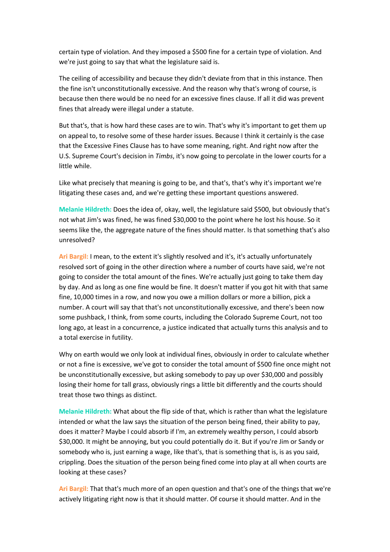certain type of violation. And they imposed a \$500 fine for a certain type of violation. And we're just going to say that what the legislature said is.

The ceiling of accessibility and because they didn't deviate from that in this instance. Then the fine isn't unconstitutionally excessive. And the reason why that's wrong of course, is because then there would be no need for an excessive fines clause. If all it did was prevent fines that already were illegal under a statute.

But that's, that is how hard these cases are to win. That's why it's important to get them up on appeal to, to resolve some of these harder issues. Because I think it certainly is the case that the Excessive Fines Clause has to have some meaning, right. And right now after the U.S. Supreme Court's decision in *Timbs*, it's now going to percolate in the lower courts for a little while.

Like what precisely that meaning is going to be, and that's, that's why it's important we're litigating these cases and, and we're getting these important questions answered.

**Melanie Hildreth:** Does the idea of, okay, well, the legislature said \$500, but obviously that's not what Jim's was fined, he was fined \$30,000 to the point where he lost his house. So it seems like the, the aggregate nature of the fines should matter. Is that something that's also unresolved?

**Ari Bargil:** I mean, to the extent it's slightly resolved and it's, it's actually unfortunately resolved sort of going in the other direction where a number of courts have said, we're not going to consider the total amount of the fines. We're actually just going to take them day by day. And as long as one fine would be fine. It doesn't matter if you got hit with that same fine, 10,000 times in a row, and now you owe a million dollars or more a billion, pick a number. A court will say that that's not unconstitutionally excessive, and there's been now some pushback, I think, from some courts, including the Colorado Supreme Court, not too long ago, at least in a concurrence, a justice indicated that actually turns this analysis and to a total exercise in futility.

Why on earth would we only look at individual fines, obviously in order to calculate whether or not a fine is excessive, we've got to consider the total amount of \$500 fine once might not be unconstitutionally excessive, but asking somebody to pay up over \$30,000 and possibly losing their home for tall grass, obviously rings a little bit differently and the courts should treat those two things as distinct.

**Melanie Hildreth:** What about the flip side of that, which is rather than what the legislature intended or what the law says the situation of the person being fined, their ability to pay, does it matter? Maybe I could absorb if I'm, an extremely wealthy person, I could absorb \$30,000. It might be annoying, but you could potentially do it. But if you're Jim or Sandy or somebody who is, just earning a wage, like that's, that is something that is, is as you said, crippling. Does the situation of the person being fined come into play at all when courts are looking at these cases?

**Ari Bargil:** That that's much more of an open question and that's one of the things that we're actively litigating right now is that it should matter. Of course it should matter. And in the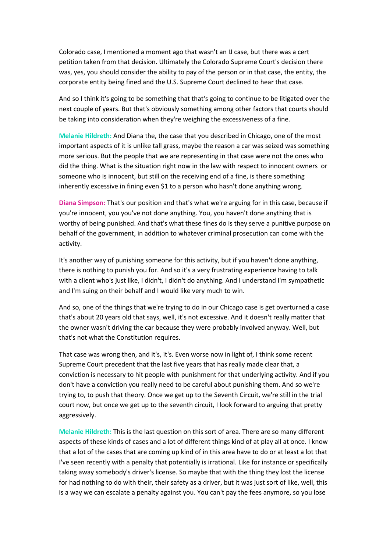Colorado case, I mentioned a moment ago that wasn't an IJ case, but there was a cert petition taken from that decision. Ultimately the Colorado Supreme Court's decision there was, yes, you should consider the ability to pay of the person or in that case, the entity, the corporate entity being fined and the U.S. Supreme Court declined to hear that case.

And so I think it's going to be something that that's going to continue to be litigated over the next couple of years. But that's obviously something among other factors that courts should be taking into consideration when they're weighing the excessiveness of a fine.

**Melanie Hildreth:** And Diana the, the case that you described in Chicago, one of the most important aspects of it is unlike tall grass, maybe the reason a car was seized was something more serious. But the people that we are representing in that case were not the ones who did the thing. What is the situation right now in the law with respect to innocent owners or someone who is innocent, but still on the receiving end of a fine, is there something inherently excessive in fining even \$1 to a person who hasn't done anything wrong.

**Diana Simpson:** That's our position and that's what we're arguing for in this case, because if you're innocent, you you've not done anything. You, you haven't done anything that is worthy of being punished. And that's what these fines do is they serve a punitive purpose on behalf of the government, in addition to whatever criminal prosecution can come with the activity.

It's another way of punishing someone for this activity, but if you haven't done anything, there is nothing to punish you for. And so it's a very frustrating experience having to talk with a client who's just like, I didn't, I didn't do anything. And I understand I'm sympathetic and I'm suing on their behalf and I would like very much to win.

And so, one of the things that we're trying to do in our Chicago case is get overturned a case that's about 20 years old that says, well, it's not excessive. And it doesn't really matter that the owner wasn't driving the car because they were probably involved anyway. Well, but that's not what the Constitution requires.

That case was wrong then, and it's, it's. Even worse now in light of, I think some recent Supreme Court precedent that the last five years that has really made clear that, a conviction is necessary to hit people with punishment for that underlying activity. And if you don't have a conviction you really need to be careful about punishing them. And so we're trying to, to push that theory. Once we get up to the Seventh Circuit, we're still in the trial court now, but once we get up to the seventh circuit, I look forward to arguing that pretty aggressively.

**Melanie Hildreth:** This is the last question on this sort of area. There are so many different aspects of these kinds of cases and a lot of different things kind of at play all at once. I know that a lot of the cases that are coming up kind of in this area have to do or at least a lot that I've seen recently with a penalty that potentially is irrational. Like for instance or specifically taking away somebody's driver's license. So maybe that with the thing they lost the license for had nothing to do with their, their safety as a driver, but it was just sort of like, well, this is a way we can escalate a penalty against you. You can't pay the fees anymore, so you lose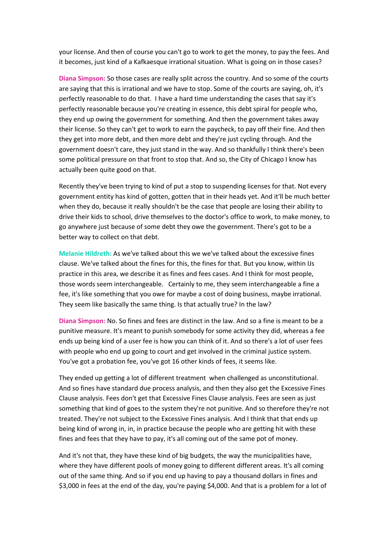your license. And then of course you can't go to work to get the money, to pay the fees. And it becomes, just kind of a Kafkaesque irrational situation. What is going on in those cases?

**Diana Simpson:** So those cases are really split across the country. And so some of the courts are saying that this is irrational and we have to stop. Some of the courts are saying, oh, it's perfectly reasonable to do that. I have a hard time understanding the cases that say it's perfectly reasonable because you're creating in essence, this debt spiral for people who, they end up owing the government for something. And then the government takes away their license. So they can't get to work to earn the paycheck, to pay off their fine. And then they get into more debt, and then more debt and they're just cycling through. And the government doesn't care, they just stand in the way. And so thankfully I think there's been some political pressure on that front to stop that. And so, the City of Chicago I know has actually been quite good on that.

Recently they've been trying to kind of put a stop to suspending licenses for that. Not every government entity has kind of gotten, gotten that in their heads yet. And it'll be much better when they do, because it really shouldn't be the case that people are losing their ability to drive their kids to school, drive themselves to the doctor's office to work, to make money, to go anywhere just because of some debt they owe the government. There's got to be a better way to collect on that debt.

**Melanie Hildreth:** As we've talked about this we we've talked about the excessive fines clause. We've talked about the fines for this, the fines for that. But you know, within IJs practice in this area, we describe it as fines and fees cases. And I think for most people, those words seem interchangeable. Certainly to me, they seem interchangeable a fine a fee, it's like something that you owe for maybe a cost of doing business, maybe irrational. They seem like basically the same thing. Is that actually true? In the law?

**Diana Simpson:** No. So fines and fees are distinct in the law. And so a fine is meant to be a punitive measure. It's meant to punish somebody for some activity they did, whereas a fee ends up being kind of a user fee is how you can think of it. And so there's a lot of user fees with people who end up going to court and get involved in the criminal justice system. You've got a probation fee, you've got 16 other kinds of fees, it seems like.

They ended up getting a lot of different treatment when challenged as unconstitutional. And so fines have standard due process analysis, and then they also get the Excessive Fines Clause analysis. Fees don't get that Excessive Fines Clause analysis. Fees are seen as just something that kind of goes to the system they're not punitive. And so therefore they're not treated. They're not subject to the Excessive Fines analysis. And I think that that ends up being kind of wrong in, in, in practice because the people who are getting hit with these fines and fees that they have to pay, it's all coming out of the same pot of money.

And it's not that, they have these kind of big budgets, the way the municipalities have, where they have different pools of money going to different different areas. It's all coming out of the same thing. And so if you end up having to pay a thousand dollars in fines and \$3,000 in fees at the end of the day, you're paying \$4,000. And that is a problem for a lot of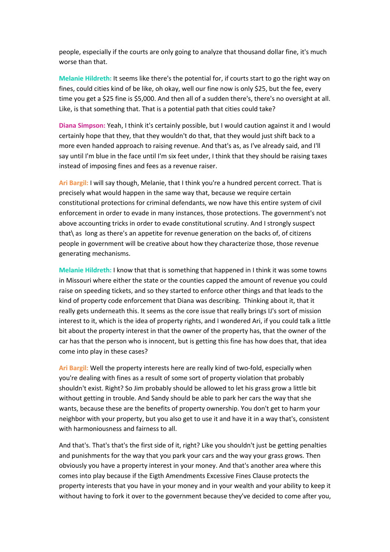people, especially if the courts are only going to analyze that thousand dollar fine, it's much worse than that.

**Melanie Hildreth:** It seems like there's the potential for, if courts start to go the right way on fines, could cities kind of be like, oh okay, well our fine now is only \$25, but the fee, every time you get a \$25 fine is \$5,000. And then all of a sudden there's, there's no oversight at all. Like, is that something that. That is a potential path that cities could take?

**Diana Simpson:** Yeah, I think it's certainly possible, but I would caution against it and I would certainly hope that they, that they wouldn't do that, that they would just shift back to a more even handed approach to raising revenue. And that's as, as I've already said, and I'll say until I'm blue in the face until I'm six feet under, I think that they should be raising taxes instead of imposing fines and fees as a revenue raiser.

**Ari Bargil:** I will say though, Melanie, that I think you're a hundred percent correct. That is precisely what would happen in the same way that, because we require certain constitutional protections for criminal defendants, we now have this entire system of civil enforcement in order to evade in many instances, those protections. The government's not above accounting tricks in order to evade constitutional scrutiny. And I strongly suspect that\ as long as there's an appetite for revenue generation on the backs of, of citizens people in government will be creative about how they characterize those, those revenue generating mechanisms.

**Melanie Hildreth:** I know that that is something that happened in I think it was some towns in Missouri where either the state or the counties capped the amount of revenue you could raise on speeding tickets, and so they started to enforce other things and that leads to the kind of property code enforcement that Diana was describing. Thinking about it, that it really gets underneath this. It seems as the core issue that really brings IJ's sort of mission interest to it, which is the idea of property rights, and I wondered Ari, if you could talk a little bit about the property interest in that the owner of the property has, that the owner of the car has that the person who is innocent, but is getting this fine has how does that, that idea come into play in these cases?

**Ari Bargil:** Well the property interests here are really kind of two-fold, especially when you're dealing with fines as a result of some sort of property violation that probably shouldn't exist. Right? So Jim probably should be allowed to let his grass grow a little bit without getting in trouble. And Sandy should be able to park her cars the way that she wants, because these are the benefits of property ownership. You don't get to harm your neighbor with your property, but you also get to use it and have it in a way that's, consistent with harmoniousness and fairness to all.

And that's. That's that's the first side of it, right? Like you shouldn't just be getting penalties and punishments for the way that you park your cars and the way your grass grows. Then obviously you have a property interest in your money. And that's another area where this comes into play because if the Eigth Amendments Excessive Fines Clause protects the property interests that you have in your money and in your wealth and your ability to keep it without having to fork it over to the government because they've decided to come after you,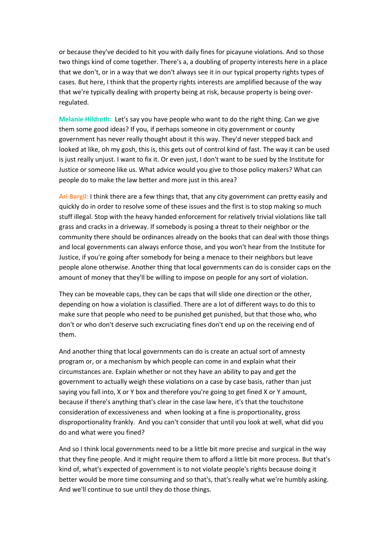or because they've decided to hit you with daily fines for picayune violations. And so those two things kind of come together. There's a, a doubling of property interests here in a place that we don't, or in a way that we don't always see it in our typical property rights types of cases. But here, I think that the property rights interests are amplified because of the way that we're typically dealing with property being at risk, because property is being overregulated.

**Melanie Hildreth:** Let's say you have people who want to do the right thing. Can we give them some good ideas? If you, if perhaps someone in city government or county government has never really thought about it this way. They'd never stepped back and looked at like, oh my gosh, this is, this gets out of control kind of fast. The way it can be used is just really unjust. I want to fix it. Or even just, I don't want to be sued by the Institute for Justice or someone like us. What advice would you give to those policy makers? What can people do to make the law better and more just in this area?

**Ari Bargil:** I think there are a few things that, that any city government can pretty easily and quickly do in order to resolve some of these issues and the first is to stop making so much stuff illegal. Stop with the heavy handed enforcement for relatively trivial violations like tall grass and cracks in a driveway. If somebody is posing a threat to their neighbor or the community there should be ordinances already on the books that can deal with those things and local governments can always enforce those, and you won't hear from the Institute for Justice, if you're going after somebody for being a menace to their neighbors but leave people alone otherwise. Another thing that local governments can do is consider caps on the amount of money that they'll be willing to impose on people for any sort of violation.

They can be moveable caps, they can be caps that will slide one direction or the other, depending on how a violation is classified. There are a lot of different ways to do this to make sure that people who need to be punished get punished, but that those who, who don't or who don't deserve such excruciating fines don't end up on the receiving end of them.

And another thing that local governments can do is create an actual sort of amnesty program or, or a mechanism by which people can come in and explain what their circumstances are. Explain whether or not they have an ability to pay and get the government to actually weigh these violations on a case by case basis, rather than just saying you fall into, X or Y box and therefore you're going to get fined X or Y amount, because if there's anything that's clear in the case law here, it's that the touchstone consideration of excessiveness and when looking at a fine is proportionality, gross disproportionality frankly. And you can't consider that until you look at well, what did you do and what were you fined?

And so I think local governments need to be a little bit more precise and surgical in the way that they fine people. And it might require them to afford a little bit more process. But that's kind of, what's expected of government is to not violate people's rights because doing it better would be more time consuming and so that's, that's really what we're humbly asking. And we'll continue to sue until they do those things.